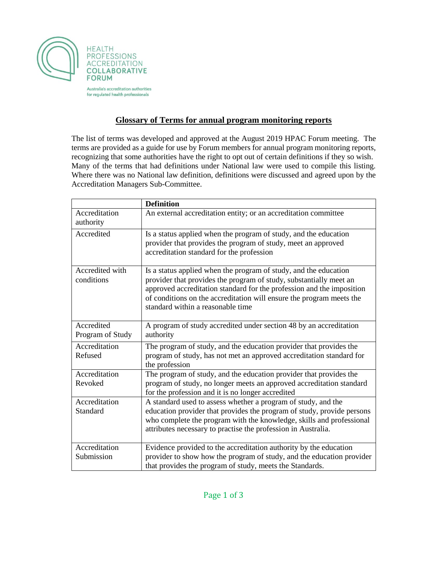

Australia's accreditation authorities for regulated health professionals

## **Glossary of Terms for annual program monitoring reports**

The list of terms was developed and approved at the August 2019 HPAC Forum meeting. The terms are provided as a guide for use by Forum members for annual program monitoring reports, recognizing that some authorities have the right to opt out of certain definitions if they so wish. Many of the terms that had definitions under National law were used to compile this listing. Where there was no National law definition, definitions were discussed and agreed upon by the Accreditation Managers Sub-Committee.

|                                | <b>Definition</b>                                                                                                                                                                                                                                                                                                            |
|--------------------------------|------------------------------------------------------------------------------------------------------------------------------------------------------------------------------------------------------------------------------------------------------------------------------------------------------------------------------|
| Accreditation<br>authority     | An external accreditation entity; or an accreditation committee                                                                                                                                                                                                                                                              |
| Accredited                     | Is a status applied when the program of study, and the education<br>provider that provides the program of study, meet an approved<br>accreditation standard for the profession                                                                                                                                               |
| Accredited with<br>conditions  | Is a status applied when the program of study, and the education<br>provider that provides the program of study, substantially meet an<br>approved accreditation standard for the profession and the imposition<br>of conditions on the accreditation will ensure the program meets the<br>standard within a reasonable time |
| Accredited<br>Program of Study | A program of study accredited under section 48 by an accreditation<br>authority                                                                                                                                                                                                                                              |
| Accreditation<br>Refused       | The program of study, and the education provider that provides the<br>program of study, has not met an approved accreditation standard for<br>the profession                                                                                                                                                                 |
| Accreditation<br>Revoked       | The program of study, and the education provider that provides the<br>program of study, no longer meets an approved accreditation standard<br>for the profession and it is no longer accredited                                                                                                                              |
| Accreditation<br>Standard      | A standard used to assess whether a program of study, and the<br>education provider that provides the program of study, provide persons<br>who complete the program with the knowledge, skills and professional<br>attributes necessary to practise the profession in Australia.                                             |
| Accreditation<br>Submission    | Evidence provided to the accreditation authority by the education<br>provider to show how the program of study, and the education provider<br>that provides the program of study, meets the Standards.                                                                                                                       |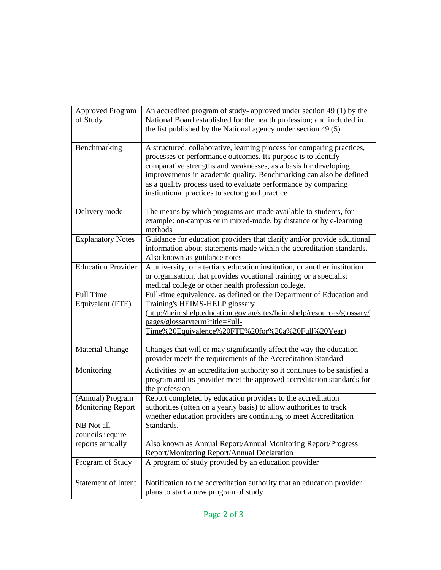| <b>Approved Program</b><br>of Study          | An accredited program of study- approved under section 49 (1) by the<br>National Board established for the health profession; and included in<br>the list published by the National agency under section 49 (5)                                                                                                                                                                                       |
|----------------------------------------------|-------------------------------------------------------------------------------------------------------------------------------------------------------------------------------------------------------------------------------------------------------------------------------------------------------------------------------------------------------------------------------------------------------|
| Benchmarking                                 | A structured, collaborative, learning process for comparing practices,<br>processes or performance outcomes. Its purpose is to identify<br>comparative strengths and weaknesses, as a basis for developing<br>improvements in academic quality. Benchmarking can also be defined<br>as a quality process used to evaluate performance by comparing<br>institutional practices to sector good practice |
| Delivery mode                                | The means by which programs are made available to students, for<br>example: on-campus or in mixed-mode, by distance or by e-learning<br>methods                                                                                                                                                                                                                                                       |
| <b>Explanatory Notes</b>                     | Guidance for education providers that clarify and/or provide additional<br>information about statements made within the accreditation standards.<br>Also known as guidance notes                                                                                                                                                                                                                      |
| <b>Education Provider</b>                    | A university; or a tertiary education institution, or another institution<br>or organisation, that provides vocational training; or a specialist<br>medical college or other health profession college.                                                                                                                                                                                               |
| Full Time<br>Equivalent (FTE)                | Full-time equivalence, as defined on the Department of Education and<br>Training's HEIMS-HELP glossary<br>(http://heimshelp.education.gov.au/sites/heimshelp/resources/glossary/<br>pages/glossaryterm?title=Full-<br>Time%20Equivalence%20FTE%20for%20a%20Full%20Year)                                                                                                                               |
| <b>Material Change</b>                       | Changes that will or may significantly affect the way the education<br>provider meets the requirements of the Accreditation Standard                                                                                                                                                                                                                                                                  |
| Monitoring                                   | Activities by an accreditation authority so it continues to be satisfied a<br>program and its provider meet the approved accreditation standards for<br>the profession                                                                                                                                                                                                                                |
| (Annual) Program<br><b>Monitoring Report</b> | Report completed by education providers to the accreditation<br>authorities (often on a yearly basis) to allow authorities to track<br>whether education providers are continuing to meet Accreditation                                                                                                                                                                                               |
| NB Not all<br>councils require               | Standards.                                                                                                                                                                                                                                                                                                                                                                                            |
| reports annually                             | Also known as Annual Report/Annual Monitoring Report/Progress<br>Report/Monitoring Report/Annual Declaration                                                                                                                                                                                                                                                                                          |
| Program of Study                             | A program of study provided by an education provider                                                                                                                                                                                                                                                                                                                                                  |
| <b>Statement of Intent</b>                   | Notification to the accreditation authority that an education provider<br>plans to start a new program of study                                                                                                                                                                                                                                                                                       |